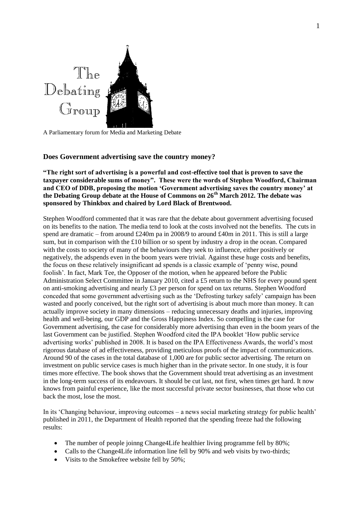

A Parliamentary forum for Media and Marketing Debate

# **Does Government advertising save the country money?**

**"The right sort of advertising is a powerful and cost-effective tool that is proven to save the taxpayer considerable sums of money". These were the words of Stephen Woodford, Chairman and CEO of DDB, proposing the motion 'Government advertising saves the country money' at the Debating Group debate at the House of Commons on 26th March 2012. The debate was sponsored by Thinkbox and chaired by Lord Black of Brentwood.**

Stephen Woodford commented that it was rare that the debate about government advertising focused on its benefits to the nation. The media tend to look at the costs involved not the benefits. The cuts in spend are dramatic – from around £240m pa in 2008/9 to around £40m in 2011. This is still a large sum, but in comparison with the £10 billion or so spent by industry a drop in the ocean. Compared with the costs to society of many of the behaviours they seek to influence, either positively or negatively, the adspends even in the boom years were trivial. Against these huge costs and benefits, the focus on these relatively insignificant ad spends is a classic example of 'penny wise, pound foolish'. In fact, Mark Tee, the Opposer of the motion, when he appeared before the Public Administration Select Committee in January 2010, cited a £5 return to the NHS for every pound spent on anti-smoking advertising and nearly £3 per person for spend on tax returns. Stephen Woodford conceded that some government advertising such as the 'Defrosting turkey safely' campaign has been wasted and poorly conceived, but the right sort of advertising is about much more than money. It can actually improve society in many dimensions – reducing unnecessary deaths and injuries, improving health and well-being, our GDP and the Gross Happiness Index. So compelling is the case for Government advertising, the case for considerably more advertising than even in the boom years of the last Government can be justified. Stephen Woodford cited the IPA booklet 'How public service advertising works' published in 2008. It is based on the IPA Effectiveness Awards, the world's most rigorous database of ad effectiveness, providing meticulous proofs of the impact of communications. Around 90 of the cases in the total database of 1,000 are for public sector advertising. The return on investment on public service cases is much higher than in the private sector. In one study, it is four times more effective. The book shows that the Government should treat advertising as an investment in the long-term success of its endeavours. It should be cut last, not first, when times get hard. It now knows from painful experience, like the most successful private sector businesses, that those who cut back the most, lose the most.

In its 'Changing behaviour, improving outcomes – a news social marketing strategy for public health' published in 2011, the Department of Health reported that the spending freeze had the following results:

- The number of people joinng Change4Life healthier living programme fell by 80%;
- Calls to the Change4Life information line fell by 90% and web visits by two-thirds;
- Visits to the Smokefree website fell by 50%;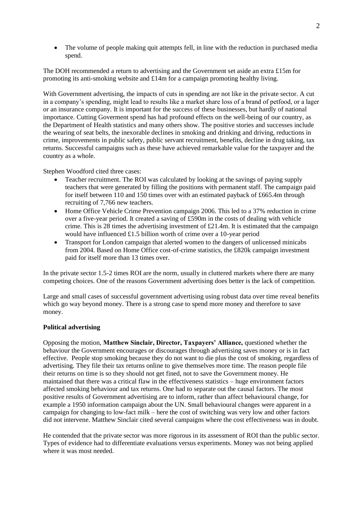The volume of people making quit attempts fell, in line with the reduction in purchased media spend.

The DOH recommended a return to advertising and the Government set aside an extra £15m for promoting its anti-smoking website and  $\pounds 14m$  for a campaign promoting healthy living.

With Government advertising, the impacts of cuts in spending are not like in the private sector. A cut in a company's spending, might lead to results like a market share loss of a brand of petfood, or a lager or an insurance company. It is important for the success of these businesses, but hardly of national importance. Cutting Goverment spend has had profound effects on the well-being of our country, as the Department of Health statistics and many others show. The positive stories and successes include the wearing of seat belts, the inexorable declines in smoking and drinking and driving, reductions in crime, improvements in public safety, public servant recruitment, benefits, decline in drug taking, tax returns. Successful campaigns such as these have achieved remarkable value for the taxpayer and the country as a whole.

Stephen Woodford cited three cases:

- Teacher recruitment. The ROI was calculated by looking at the savings of paying supply teachers that were generated by filling the positions with permanent staff. The campaign paid for itself between 110 and 150 times over with an estimated payback of £665.4m through recruiting of 7,766 new teachers.
- Home Office Vehicle Crime Prevention campaign 2006. This led to a 37% reduction in crime over a five-year period. It created a saving of £590m in the costs of dealing with vehicle crime. This is 28 times the advertising investment of £21.4m. It is estimated that the campaign would have influenced £1.5 billion worth of crime over a 10-year period
- Transport for London campaign that alerted women to the dangers of unlicensed minicabs from 2004. Based on Home Office cost-of-crime statistics, the £820k campaign investment paid for itself more than 13 times over.

In the private sector 1.5-2 times ROI are the norm, usually in cluttered markets where there are many competing choices. One of the reasons Government advertising does better is the lack of competition.

Large and small cases of successful government advertising using robust data over time reveal benefits which go way beyond money. There is a strong case to spend more money and therefore to save money.

## **Political advertising**

Opposing the motion, **Matthew Sinclair, Director, Taxpayers' Alliance,** questioned whether the behaviour the Government encourages or discourages through advertising saves money or is in fact effective. People stop smoking because they do not want to die plus the cost of smoking, regardless of advertising. They file their tax returns online to give themselves more time. The reason people file their returns on time is so they should not get fined, not to save the Government money. He maintained that there was a critical flaw in the effectiveness statistics – huge environment factors affected smoking behaviour and tax returns. One had to separate out the causal factors. The most positive results of Government advertising are to inform, rather than affect behavioural change, for example a 1950 information campaign about the UN. Small behavioural changes were apparent in a campaign for changing to low-fact milk – here the cost of switching was very low and other factors did not intervene. Matthew Sinclair cited several campaigns where the cost effectiveness was in doubt.

He contended that the private sector was more rigorous in its assessment of ROI than the public sector. Types of evidence had to differentiate evaluations versus experiments. Money was not being applied where it was most needed.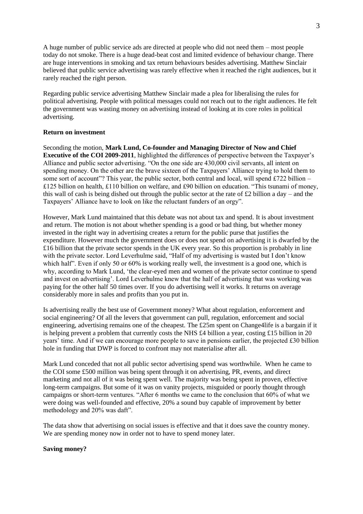A huge number of public service ads are directed at people who did not need them – most people today do not smoke. There is a huge dead-beat cost and limited evidence of behaviour change. There are huge interventions in smoking and tax return behaviours besides advertising. Matthew Sinclair believed that public service advertising was rarely effective when it reached the right audiences, but it rarely reached the right person.

Regarding public service advertising Matthew Sinclair made a plea for liberalising the rules for political advertising. People with political messages could not reach out to the right audiences. He felt the government was wasting money on advertising instead of looking at its core roles in political advertising.

### **Return on investment**

Seconding the motion, **Mark Lund, Co-founder and Managing Director of Now and Chief Executive of the COI 2009-2011**, highlighted the differences of perspective between the Taxpayer's Alliance and public sector advertising. "On the one side are 430,000 civil servants, all intent on spending money. On the other are the brave sixteen of the Taxpayers' Alliance trying to hold them to some sort of account"? This year, the public sector, both central and local, will spend  $\text{\pounds}722$  billion – £125 billion on health, £110 billion on welfare, and £90 billion on education. "This tsunami of money, this wall of cash is being dished out through the public sector at the rate of £2 billion a day – and the Taxpayers' Alliance have to look on like the reluctant funders of an orgy".

However, Mark Lund maintained that this debate was not about tax and spend. It is about investment and return. The motion is not about whether spending is a good or bad thing, but whether money invested in the right way in advertising creates a return for the public purse that justifies the expenditure. However much the government does or does not spend on advertising it is dwarfed by the £16 billion that the private sector spends in the UK every year. So this proportion is probably in line with the private sector. Lord Leverhulme said, "Half of my advertising is wasted but I don't know which half". Even if only 50 or 60% is working really well, the investment is a good one, which is why, according to Mark Lund, 'the clear-eyed men and women of the private sector continue to spend and invest on advertising'. Lord Leverhulme knew that the half of advertising that was working was paying for the other half 50 times over. If you do advertising well it works. It returns on average considerably more in sales and profits than you put in.

Is advertising really the best use of Government money? What about regulation, enforcement and social engineering? Of all the levers that government can pull, regulation, enforcement and social engineering, advertising remains one of the cheapest. The £25m spent on Change4life is a bargain if it is helping prevent a problem that currently costs the NHS £4 billion a year, costing £15 billion in 20 years' time. And if we can encourage more people to save in pensions earlier, the projected £30 billion hole in funding that DWP is forced to confront may not materialise after all.

Mark Lund conceded that not all public sector advertising spend was worthwhile. When he came to the COI some £500 million was being spent through it on advertising, PR, events, and direct marketing and not all of it was being spent well. The majority was being spent in proven, effective long-term campaigns. But some of it was on vanity projects, misguided or poorly thought through campaigns or short-term ventures. "After 6 months we came to the conclusion that 60% of what we were doing was well-founded and effective, 20% a sound buy capable of improvement by better methodology and 20% was daft".

The data show that advertising on social issues is effective and that it does save the country money. We are spending money now in order not to have to spend money later.

#### **Saving money?**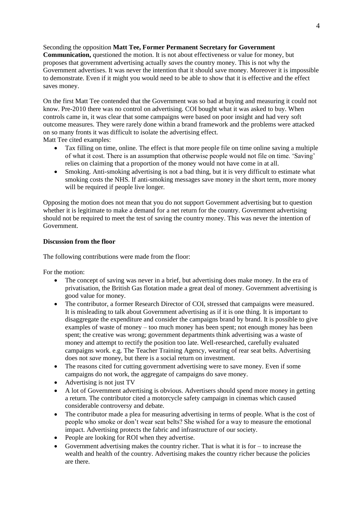Seconding the opposition **Matt Tee, Former Permanent Secretary for Government Communication,** questioned the motion. It is not about effectiveness or value for money, but proposes that government advertising actually *saves* the country money. This is not why the Government advertises. It was never the intention that it should save money. Moreover it is impossible to demonstrate. Even if it might you would need to be able to show that it is effective and the effect saves money.

On the first Matt Tee contended that the Government was so bad at buying and measuring it could not know. Pre-2010 there was no control on advertising. COI bought what it was asked to buy. When controls came in, it was clear that some campaigns were based on poor insight and had very soft outcome measures. They were rarely done within a brand framework and the problems were attacked on so many fronts it was difficult to isolate the advertising effect. Matt Tee cited examples:

- Tax filling on time, online. The effect is that more people file on time online saving a multiple of what it cost. There is an assumption that otherwise people would not file on time. 'Saving' relies on claiming that a proportion of the money would not have come in at all.
- Smoking. Anti-smoking advertising is not a bad thing, but it is very difficult to estimate what smoking costs the NHS. If anti-smoking messages save money in the short term, more money will be required if people live longer.

Opposing the motion does not mean that you do not support Government advertising but to question whether it is legitimate to make a demand for a net return for the country. Government advertising should not be required to meet the test of saving the country money. This was never the intention of Government.

## **Discussion from the floor**

The following contributions were made from the floor:

For the motion:

- The concept of saving was never in a brief, but advertising does make money. In the era of privatisation, the British Gas flotation made a great deal of money. Government advertising is good value for money.
- The contributor, a former Research Director of COI, stressed that campaigns were measured. It is misleading to talk about Government advertising as if it is one thing. It is important to disaggregate the expenditure and consider the campaigns brand by brand. It is possible to give examples of waste of money – too much money has been spent; not enough money has been spent; the creative was wrong; government departments think advertising was a waste of money and attempt to rectify the position too late. Well-researched, carefully evaluated campaigns work. e.g. The Teacher Training Agency, wearing of rear seat belts. Advertising does not *save* money, but there is a social return on investment.
- The reasons cited for cutting government advertising were to save money. Even if some campaigns do not work, the aggregate of campaigns do save money.
- Advertising is not just TV
- A lot of Government advertising is obvious. Advertisers should spend more money in getting a return. The contributor cited a motorcycle safety campaign in cinemas which caused considerable controversy and debate.
- The contributor made a plea for measuring advertising in terms of people. What is the cost of people who smoke or don't wear seat belts? She wished for a way to measure the emotional impact. Advertising protects the fabric and infrastructure of our society.
- People are looking for ROI when they advertise.
- Government advertising makes the country richer. That is what it is for to increase the wealth and health of the country. Advertising makes the country richer because the policies are there.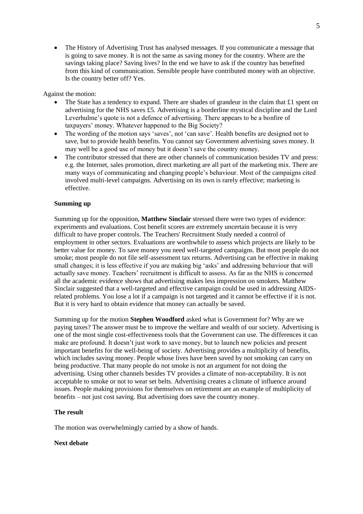The History of Advertising Trust has analysed messages. If you communicate a message that is going to save money. It is not the same as saving money for the country. Where are the savings taking place? Saving lives? In the end we have to ask if the country has benefited from this kind of communication. Sensible people have contributed money with an objective. Is the country better off? Yes.

## Against the motion:

- The State has a tendency to expand. There are shades of grandeur in the claim that  $\pounds 1$  spent on advertising for the NHS saves £5. Advertising is a borderline mystical discipline and the Lord Leverhulme's quote is not a defence of advertising. There appears to be a bonfire of taxpayers' money. Whatever happened to the Big Society?
- The wording of the motion says 'saves', not 'can save'. Health benefits are designed not to save, but to provide health benefits. You cannot say Government advertising *saves* money. It may well be a good use of money but it doesn't save the country money.
- The contributor stressed that there are other channels of communication besides TV and press: e.g. the Internet, sales promotion, direct marketing are all part of the marketing mix. There are many ways of communicating and changing people's behaviour. Most of the campaigns cited involved multi-level campaigns. Advertising on its own is rarely effective; marketing is effective.

### **Summing up**

Summing up for the opposition, **Matthew Sinclair** stressed there were two types of evidence: experiments and evaluations. Cost benefit scores are extremely uncertain because it is very difficult to have proper controls. The Teachers' Recruitment Study needed a control of employment in other sectors. Evaluations are worthwhile to assess which projects are likely to be better value for money. To save money you need well-targeted campaigns. But most people do not smoke; most people do not file self-assessment tax returns. Advertising can be effective in making small changes; it is less effective if you are making big 'asks' and addressing behaviour that will actually save money. Teachers' recruitment is difficult to assess. As far as the NHS is concerned all the academic evidence shows that advertising makes less impression on smokers. Matthew Sinclair suggested that a well-targeted and effective campaign could be used in addressing AIDSrelated problems. You lose a lot if a campaign is not targeted and it cannot be effective if it is not. But it is very hard to obtain evidence that money can actually be saved.

Summing up for the motion **Stephen Woodford** asked what is Government for? Why are we paying taxes? The answer must be to improve the welfare and wealth of our society. Advertising is one of the most single cost-effectiveness tools that the Government can use. The differences it can make are profound. It doesn't just work to save money, but to launch new policies and present important benefits for the well-being of society. Advertising provides a multiplicity of benefits, which includes saving money. People whose lives have been saved by not smoking can carry on being productive. That many people do not smoke is not an argument for not doing the advertising. Using other channels besides TV provides a climate of non-acceptability. It is not acceptable to smoke or not to wear set belts. Advertising creates a climate of influence around issues. People making provisions for themselves on retirement are an example of multiplicity of benefits – not just cost saving. But advertising does save the country money.

#### **The result**

The motion was overwhelmingly carried by a show of hands.

#### **Next debate**